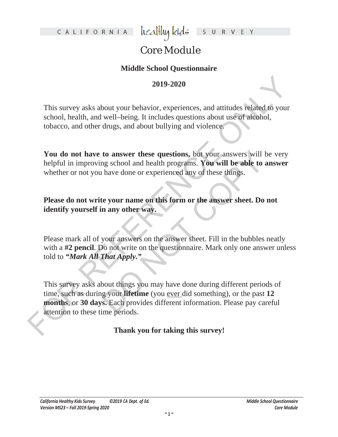healthy kids  $\mathsf{S}$  $U$  R

## Core Module

## **Middle School Questionnaire**

## **2019-2020**

This survey asks about your behavior, experiences, and attitudes related to your school, health, and well–being. It includes questions about use of alcohol, tobacco, and other drugs, and about bullying and violence.

You do not have to answer these questions, but your answers will be very helpful in improving school and health programs. **You will be able to answer**  whether or not you have done or experienced any of these things.

**Please do not write your name on this form or the answer sheet. Do not identify yourself in any other way.**

Please mark all of your answers on the answer sheet. Fill in the bubbles neatly with a **#2 pencil**. Do not write on the questionnaire. Mark only one answer unless told to *"Mark All That Apply."*

2019-2020<br>
2019-2020<br>
2019-2020<br>
This survey asks about your behavior, experiences, and attitudes related to your<br>
school, health, and well-being. It includes questions about use of a<br>leabel, thoseco, and other drugs, and to answer these questions, but your answers will be<br>alg school and health programs. You will be able to an<br>have done or experienced any of these things.<br>the your name on this form or the answer sheet. Do n<br>n any other way. This survey asks about things you may have done during different periods of time, such as during your **lifetime** (you ever did something), or the past **12 months**, or **30 days.** Each provides different information. Please pay careful attention to these time periods.

**Thank you for taking this survey!**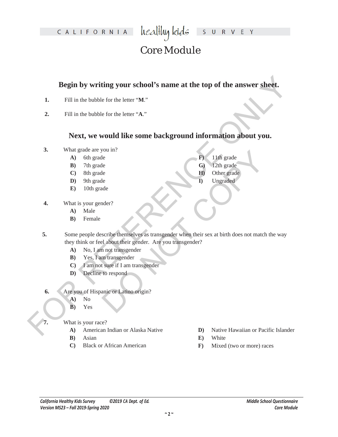healthy kids S U R V E Y

# Core Module

#### **Begin by writing your school's name at the top of the answer sheet.**

- **1.** Fill in the bubble for the letter "**M**."
- **2.** Fill in the bubble for the letter "**A**."

#### **Next, we would like some background information about you.**

- **3.** What grade are you in?
	- **A)** 6th grade
	- **B)** 7th grade
	- **C)** 8th grade
	- **D)** 9th grade
	- **E)** 10th grade
- **4.** What is your gender?
	- **A)** Male
	- **B)** Female
- **Example 18 All the South Controllers (2008)**<br> **For Ref. 10** and the bubble for the letter "Ax"<br>
2. Full in the bubble for the letter "Ax"<br> **PCEX, we would like some background information about you.**<br>
3. What taxed are y DO NOT COPY **5.** Some people describe themselves as transgender when their sex at birth does not match the way they think or feel about their gender. Are you transgender?
	- **A)** No, I am not transgender
	- **B)** Yes, I am transgender
	- **C)** I am not sure if I am transgender
	- **D)** Decline to respond
	- **6.** Are you of Hispanic or Latino origin?
		- **A)** No
		- **B)** Yes
		- **7.** What is your race?
			- **A)** American Indian or Alaska Native
			- **B)** Asian
			- **C)** Black or African American
- **D)** Native Hawaiian or Pacific Islander
- **E)** White

**F)** 11th grade **G)** 12th grade **H)** Other grade **I)** Ungraded

**F)** Mixed (two or more) races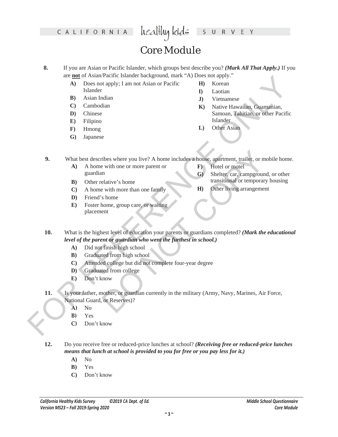#### healthy kids S U R V E Y

## Core Module

- **8.** If you are Asian or Pacific Islander, which groups best describe you? *(Mark All That Apply.)* If you are **not** of Asian/Pacific Islander background, mark "A) Does not apply."
	- **A)** Does not apply; I am not Asian or Pacific Islander
	- **B)** Asian Indian
	- **C)** Cambodian
	- **D)** Chinese
	- **E)** Filipino
	- **F)** Hmong
	- **G)** Japanese
- **H)** Korean
- **I)** Laotian
- **J)** Vietnamese
- **K)** Native Hawaiian, Guamanian, Samoan, Tahitian, or other Pacific Islander
- **L)** Other Asian

**F)** Hotel or motel

**9.** What best describes where you live? A home includes a house, apartment, trailer, or mobile home.

- **A)** A home with one or more parent or guardian
- **B)** Other relative's home

transitional or temporary housing **H)** Other living arrangement

**G)** Shelter, car, campground, or other

- **C)** A home with more than one family
- **D)** Friend's home
- **E)** Foster home, group care, or waiting placement
- Every the control is used to the first of the military (Army, Navy, Marines, Alexandre C. Combodinate C. Combos and the base of the state of the state of the state of the state of the state of the state of the state of th **10.** What is the highest level of education your parents or guardians completed? *(Mark the educational level of the parent or guardian who went the furthest in school.)*
	- **A)** Did not finish high school
	- **B)** Graduated from high school
	- **C)** Attended college but did not complete four-year degree
	- **D)** Graduated from college
	- **E)** Don't know
	- The sum of the matter of the matter of the matter of the matter of the matter of the matter of the set of the matter of the set of the matter of the set of the matter of the matter of the matter of the matter of the matter **11.** Is your father, mother, or guardian currently in the military (Army, Navy, Marines, Air Force, National Guard, or Reserves)?
		- **A)** No
		- **B)** Yes
		- **C)** Don't know

**12.** Do you receive free or reduced-price lunches at school? *(Receiving free or reduced-price lunches means that lunch at school is provided to you for free or you pay less for it.)*

- **A)** No
- **B)** Yes
- **C)** Don't know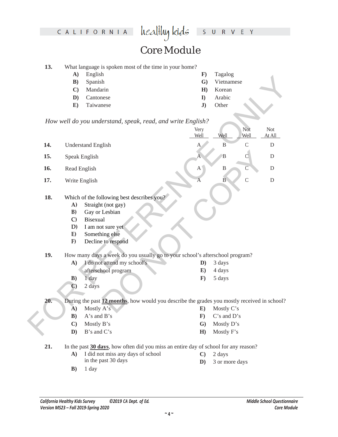#### healthy kids S U R V E Y

## Core Module

| 13. |  |  |  | What language is spoken most of the time in your home? |
|-----|--|--|--|--------------------------------------------------------|
|-----|--|--|--|--------------------------------------------------------|

- **A)** English
- **B)** Spanish
- **C)** Mandarin
- **D)** Cantonese
- **E)** Taiwanese
- **F)** Tagalog
- **G)** Vietnamese
- **H)** Korean
	- **I)** Arabic
	- **J)** Other

|     | $1 - 1$      | Luguon                                                                                      | .,             | $1 \mu \text{g} \mu \nu \text{g}$ |                |             |
|-----|--------------|---------------------------------------------------------------------------------------------|----------------|-----------------------------------|----------------|-------------|
|     | B)           | Spanish                                                                                     | $\mathbf{G}$   | Vietnamese                        |                |             |
|     | $\mathbf{C}$ | Mandarin                                                                                    | H)             | Korean                            |                |             |
|     | D)           | Cantonese                                                                                   | $\bf{I}$       | Arabic                            |                |             |
|     | E)           | Taiwanese                                                                                   | J)             | Other                             |                |             |
|     |              |                                                                                             |                |                                   |                |             |
|     |              | How well do you understand, speak, read, and write English?                                 |                |                                   |                |             |
|     |              |                                                                                             | Very           |                                   | Not            | <b>Not</b>  |
|     |              |                                                                                             | Well           | Well                              | Well           | At All      |
| 14. |              | <b>Understand English</b>                                                                   | A              | $\mathbf{B}$                      | $\mathsf{C}$   | ${\rm D}$   |
| 15. |              | Speak English                                                                               | A              | $\overline{B}$                    | $\mathsf C$    | $\mathbf D$ |
| 16. | Read English |                                                                                             | $A^{\dagger}$  | $\, {\bf B}$                      | $\overline{C}$ | $\mathbf D$ |
| 17. |              | Write English                                                                               | $\overline{A}$ | $\overline{B}$                    | $\mathcal{C}$  | $\mathbf D$ |
|     |              |                                                                                             |                |                                   |                |             |
| 18. |              | Which of the following best describes you?                                                  |                |                                   |                |             |
|     | A)           | Straight (not gay)                                                                          |                |                                   |                |             |
|     | B)           | Gay or Lesbian                                                                              |                |                                   |                |             |
|     | $\mathbf{C}$ | <b>Bisexual</b>                                                                             |                |                                   |                |             |
|     | D)           | I am not sure yet                                                                           |                |                                   |                |             |
|     | E)           | Something else                                                                              |                |                                   |                |             |
|     | F)           | Decline to respond                                                                          |                |                                   |                |             |
| 19. |              | How many days a week do you usually go to your school's afterschool program?                |                |                                   |                |             |
|     | $\mathbf{A}$ | I do not attend my school's                                                                 | $\mathbf{D}$   | 3 days                            |                |             |
|     |              | afterschool program                                                                         | E)             | 4 days                            |                |             |
|     | B)           | 1 day                                                                                       | $\mathbf{F}$   | 5 days                            |                |             |
|     | $\mathbf{C}$ | 2 days                                                                                      |                |                                   |                |             |
| 20. |              | During the past 12 months, how would you describe the grades you mostly received in school? |                |                                   |                |             |
|     | A)           | Mostly A's                                                                                  | $\mathbf{E}$   | Mostly C's                        |                |             |
|     | B)           | A's and B's                                                                                 | $\mathbf{F}$   | C's and D's                       |                |             |
|     | $\mathbf{C}$ | Mostly B's                                                                                  | $\mathbf{G}$   | Mostly D's                        |                |             |
|     | D)           | B's and C's                                                                                 | H)             | Mostly F's                        |                |             |
|     |              |                                                                                             |                |                                   |                |             |

#### **18.** Which of the following best describes you?

- **A)** Straight (not gay)
- **B)** Gay or Lesbian
- **C)** Bisexual
- **D)** I am not sure yet
- **E)** Something else
- **F)** Decline to respond

#### **19.** How many days a week do you usually go to your school's afterschool program?

| A) | I do not attend my school's | $\mathbf{D}$ ) 3 days |
|----|-----------------------------|-----------------------|
|    | afterschool program         | $E$ ) 4 days          |
| B) | 1 dav                       | 5 days                |

- **E)** Mostly C's
- **F)** C's and D's
	- **G)** Mostly D's
	- **H)** Mostly F's

**21.** In the past **30 days**, how often did you miss an entire day of school for any reason?

- **A)** I did not miss any days of school in the past 30 days
- **B)** 1 day

**C)** 2 days **D)** 3 or more days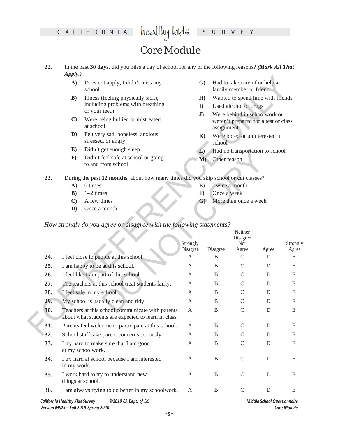#### healthy kids S U R V E Y

# Core Module

- **22.** In the past **30 days**, did you miss a day of school for any of the following reasons? *(Mark All That Apply.)*
	- **A)** Does not apply; I didn't miss any school
	- **B)** Illness (feeling physically sick), including problems with breathing or your teeth
	- **C)** Were being bullied or mistreated at school
	- **D)** Felt very sad, hopeless, anxious, stressed, or angry
	- **E)** Didn't get enough sleep
	- **F)** Didn't feel safe at school or going to and from school
- **G)** Had to take care of or help a family member or friend
- **H)** Wanted to spend time with friends
- **I)** Used alcohol or drugs
- **J)** Were behind in schoolwork or weren't prepared for a test or class assignment
- **K)** Were bored or uninterested in school
- **L)** Had no transportation to school
- **M)** Other reason

- **A)** 0 times
- $B)$  1–2 times
- **C)** A few times
- **D)** Once a month
- **E)** Twice a month
- **F)** Once a week
- **G)** More than once a week

|     | $i$ <sup>+</sup> $i$ <sup>+</sup> $j$ <sup>+</sup> $j$ <sup>+</sup> |                                                                                                         |                      |              |                                                          |             |                   |
|-----|---------------------------------------------------------------------|---------------------------------------------------------------------------------------------------------|----------------------|--------------|----------------------------------------------------------|-------------|-------------------|
|     | $\mathbf{A}$                                                        | Does not apply; I didn't miss any<br>school                                                             | $\mathbf{G}$         |              | Had to take care of or help a<br>family member or friend |             |                   |
|     | B)                                                                  | Illness (feeling physically sick),                                                                      | H)                   |              | Wanted to spend time with friends                        |             |                   |
|     |                                                                     | including problems with breathing                                                                       | $\bf{I}$             |              | Used alcohol or drugs                                    |             |                   |
|     |                                                                     | or your teeth                                                                                           | J)                   |              | Were behind in schoolwork or                             |             |                   |
|     | $\mathbf{C}$                                                        | Were being bullied or mistreated<br>at school                                                           |                      | assignment   | weren't prepared for a test or class                     |             |                   |
|     | $\mathbf{D}$                                                        | Felt very sad, hopeless, anxious,<br>stressed, or angry                                                 | $\mathbf{K}$         | school       | Were bored or uninterested in                            |             |                   |
|     | $\mathbf{E})$                                                       | Didn't get enough sleep                                                                                 | $\mathbf{L}$         |              | Had no transportation to school                          |             |                   |
|     | $\mathbf{F}$                                                        | Didn't feel safe at school or going<br>to and from school                                               | M)                   | Other reason |                                                          |             |                   |
| 23. |                                                                     | During the past 12 months, about how many times did you skip school or cut classes?                     |                      |              |                                                          |             |                   |
|     | $\mathbf{A}$                                                        | 0 times                                                                                                 | $\mathbf{E}$         |              | Twice a month                                            |             |                   |
|     | $\mathbf{B}$                                                        | $1-2$ times                                                                                             | $\mathbf{F}$         | Once a week  |                                                          |             |                   |
|     | $\mathbf{C}$                                                        | A few times                                                                                             | $\mathbf{G}$         |              | More than once a week                                    |             |                   |
|     | D)                                                                  | Once a month                                                                                            |                      |              |                                                          |             |                   |
|     |                                                                     | How strongly do you agree or disagree with the following statements?                                    | Strongly<br>Disagree | Disagree     | Neither<br>Disagree<br>Nor<br>Agree                      | Agree       | Strongly<br>Agree |
| 24. |                                                                     | I feel close to people at this school.                                                                  | A                    | B            | $\mathcal{C}$                                            | D           | E                 |
| 25. |                                                                     | I am happy to be at this school.                                                                        | A                    | B            | $\mathsf{C}$                                             | D           | E                 |
| 26. |                                                                     | I feel like I am part of this school.                                                                   | A                    | $\, {\bf B}$ | $\mathsf{C}$                                             | $\mathbf D$ | E                 |
| 27. |                                                                     | The teachers at this school treat students fairly.                                                      | A                    | $\, {\bf B}$ | $\mathsf{C}$                                             | D           | E                 |
| 28. |                                                                     | I feel safe in my school.                                                                               | A                    | B            | $\mathsf{C}$                                             | D           | E                 |
| 29. |                                                                     | My school is usually clean and tidy.                                                                    | A                    | $\, {\bf B}$ | $\mathsf{C}$                                             | D           | $\mathbf E$       |
| 30. |                                                                     | Teachers at this school communicate with parents<br>about what students are expected to learn in class. | A                    | $\, {\bf B}$ | $\mathcal{C}$                                            | D           | E                 |
| 31. |                                                                     | Parents feel welcome to participate at this school.                                                     | A                    | B            | $\mathsf C$                                              | ${\rm D}$   | ${\bf E}$         |
| 32. |                                                                     |                                                                                                         | A                    | $\mathbf B$  | $\mathsf{C}$                                             | D           | E                 |
| 33. |                                                                     | School staff take parent concerns seriously.                                                            |                      |              |                                                          |             |                   |
|     |                                                                     | I try hard to make sure that I am good<br>at my schoolwork.                                             | $\mathbf{A}$         | $\, {\bf B}$ | $\mathsf C$                                              | D           | E                 |
| 34. | in my work.                                                         | I try hard at school because I am interested                                                            | $\mathbf{A}$         | $\, {\bf B}$ | $\mathbf C$                                              | ${\rm D}$   | E                 |
| 35. | things at school.                                                   | I work hard to try to understand new                                                                    | A                    | $\, {\bf B}$ | $\mathbf C$                                              | D           | E                 |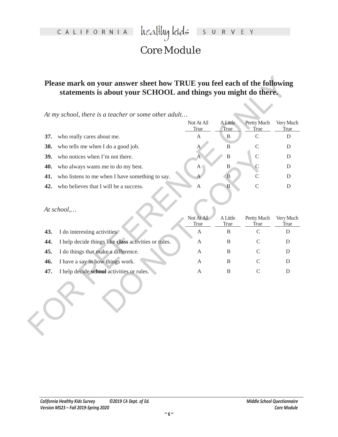## Core Module

## **Please mark on your answer sheet how TRUE you feel each of the following statements is about your SCHOOL and things you might do there.**

|     | At my school, there is a teacher or some other adult |                           |                         |                     |                   |
|-----|------------------------------------------------------|---------------------------|-------------------------|---------------------|-------------------|
|     |                                                      | Not At All<br>True        | <b>A</b> Little<br>True | Pretty Much<br>True | Very Much<br>True |
| 37. | who really cares about me.                           | $\boldsymbol{\mathsf{A}}$ | $\mathbf{B}$            | $\mathsf{C}$        |                   |
| 38. | who tells me when I do a good job.                   |                           | $\, {\bf B}$            | $\mathcal{C}$       |                   |
| 39. | who notices when I'm not there.                      |                           | $\, {\bf B}$            | $\mathsf C$         |                   |
| 40. | who always wants me to do my best.                   | A <sub>1</sub>            | B                       | $\mathcal{C}$       |                   |
| 41. | who listens to me when I have something to say.      |                           | B                       | $\overline{C}$      |                   |
| 42. | who believes that I will be a success.               | A                         | B                       | $\mathsf{C}$        |                   |
|     | At school,                                           |                           |                         |                     |                   |
|     |                                                      | Not At All<br>True        | A Little<br>True        | Pretty Much<br>True | Very Much<br>True |
| 43. | I do interesting activities.                         | $\mathbf{A}$              | B                       | $\mathsf C$         |                   |
| 44. | I help decide things like class activities or rules. | A                         | B                       | $\mathsf{C}$        |                   |
| 45. | I do things that make a difference.                  | A                         | B                       | C                   |                   |
| 46. | I have a say in how things work.                     | A                         | B                       | C                   |                   |
| 47. | I help decide school activities or rules.            | A                         | B                       | $\mathcal{C}$       |                   |
|     |                                                      |                           |                         |                     |                   |

| <b>39.</b> | who notices when I'm not there.                      | A                  | B                | $\mathcal{C}$              | D                        |
|------------|------------------------------------------------------|--------------------|------------------|----------------------------|--------------------------|
| 40.        | who always wants me to do my best.                   | $A_{\parallel}$    | B                | C                          | D                        |
| 41.        | who listens to me when I have something to say.      | A                  | B                | C                          | D                        |
| 42.        | who believes that I will be a success.               | A                  | B                | $\mathcal{C}$              | D                        |
|            | At school,                                           |                    |                  |                            |                          |
|            |                                                      | Not At All<br>True | A Little<br>True | Pretty Much<br><b>True</b> | Very Much<br><b>True</b> |
| 43.        | I do interesting activities.                         | A                  | B                | $\mathcal{C}$              | D                        |
| 44.        | I help decide things like class activities or rules. | A                  | B                | $\mathsf{C}$               | D                        |
| 45.        | I do things that make a difference.                  | A                  | B                | $\mathcal{C}$              | D                        |
| 46.        | I have a say in how things work.                     | A                  | B                | C                          | D                        |
| 47.        | I help decide school activities or rules.            | A                  | B                | $\mathcal{C}$              | D                        |
|            |                                                      |                    |                  |                            |                          |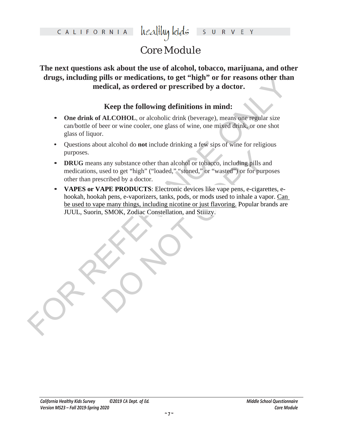# Core Module

**The next questions ask about the use of alcohol, tobacco, marijuana, and other drugs, including pills or medications, to get "high" or for reasons other than medical, as ordered or prescribed by a doctor.**

### **Keep the following definitions in mind:**

- **• One drink of ALCOHOL**, or alcoholic drink (beverage), means one regular size can/bottle of beer or wine cooler, one glass of wine, one mixed drink, or one shot glass of liquor.
- **•** Questions about alcohol do **not** include drinking a few sips of wine for religious purposes.
- **• DRUG** means any substance other than alcohol or tobacco, including pills and medications, used to get "high" ("loaded," "stoned," or "wasted") or for purposes other than prescribed by a doctor.
- drugs, including pills or medications, to get "high" or for crassons other than<br>medical, as ordered or prescribed by a doctor.<br>
Keep the following definitions in mind:<br>
For Concels and MCOHOL correlations of the correlatio any substance other than alcohol or tobacco, including pills and<br>sead to get "high" ("loaded," "stoned," or "wasted") or for purpo<br>scribed by a doctor.<br>**APE PRODUCTS**: Electronic devices like vape pens, e-cigarett<br>th pens, **• VAPES or VAPE PRODUCTS**: Electronic devices like vape pens, e-cigarettes, ehookah, hookah pens, e-vaporizers, tanks, pods, or mods used to inhale a vapor. Can be used to vape many things, including nicotine or just flavoring. Popular brands are JUUL, Suorin, SMOK, Zodiac Constellation, and Stiiizy.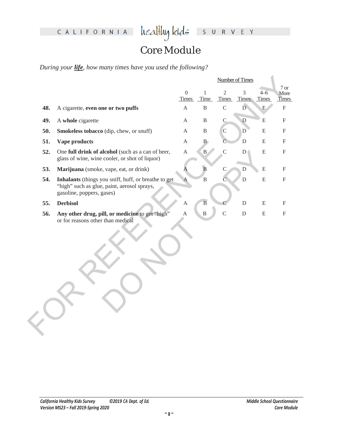# Core Module

*During your life, how many times have you used the following?*

|     |                                                                                                                                  |                                |                      |                                | <b>Number of Times</b> |                         |                              |
|-----|----------------------------------------------------------------------------------------------------------------------------------|--------------------------------|----------------------|--------------------------------|------------------------|-------------------------|------------------------------|
|     |                                                                                                                                  | $\overline{0}$<br><b>Times</b> | $\mathbf{1}$<br>Time | $\overline{2}$<br><b>Times</b> | 3<br><b>Times</b>      | $4 - 6$<br><b>Times</b> | 7 or<br>More<br><b>Times</b> |
| 48. | A cigarette, even one or two puffs                                                                                               | $\mathbf{A}$                   | $\, {\bf B}$         | $\mathcal{C}$                  | Ď                      | ${\bf E}$               | $\boldsymbol{\mathrm{F}}$    |
| 49. | A whole cigarette                                                                                                                | A                              | $\, {\bf B}$         | $\mathsf{C}$                   | $\mathbf D$            | ${\bf E}$               | $\boldsymbol{\mathrm{F}}$    |
| 50. | Smokeless tobacco (dip, chew, or snuff)                                                                                          | A                              | $\, {\bf B}$         | $\mathsf C$                    | D                      | ${\bf E}$               | $\mathbf{F}$                 |
| 51. | Vape products                                                                                                                    | A                              | B                    | C                              | ${\bf D}$              | ${\bf E}$               | $\boldsymbol{\mathrm{F}}$    |
| 52. | One full drink of alcohol (such as a can of beer,<br>glass of wine, wine cooler, or shot of liquor)                              | $\boldsymbol{\mathsf{A}}$      | $\mathbf{B}$         | $\mathsf{C}$                   | ${\rm D}$              | ${\bf E}$               | $\boldsymbol{\mathrm{F}}$    |
| 53. | Marijuana (smoke, vape, eat, or drink)                                                                                           | Α                              | $\overline{B}$       | $\mathsf C$                    | D                      | ${\bf E}$               | $\boldsymbol{\mathrm{F}}$    |
| 54. | Inhalants (things you sniff, huff, or breathe to get<br>"high" such as glue, paint, aerosol sprays,<br>gasoline, poppers, gases) | $\mathbf{A}$                   | $\overline{B}$       | С                              | $\overline{D}$         | ${\bf E}$               | $\boldsymbol{\mathrm{F}}$    |
| 55. | <b>Derbisol</b>                                                                                                                  | $\mathbf{A}$                   | $\, {\bf B}$         |                                | $\mathbf D$            | ${\bf E}$               | $\boldsymbol{\mathrm{F}}$    |
| 56. | Any other drug, pill, or medicine to get "high"<br>or for reasons other than medical                                             | A                              | $\overline{B}$       | $\overline{C}$                 | ${\bf D}$              | $\mathbf E$             | $\boldsymbol{\mathrm{F}}$    |
|     |                                                                                                                                  |                                |                      |                                |                        |                         |                              |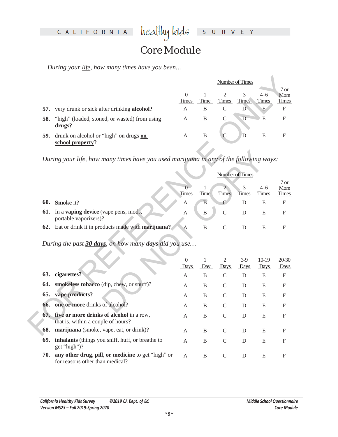# Core Module

*During your life, how many times have you been…* 

|     |                                                            | Number of Times                  |      |              |                   |                         |                                  |
|-----|------------------------------------------------------------|----------------------------------|------|--------------|-------------------|-------------------------|----------------------------------|
|     |                                                            | $\left( \right)$<br><b>Times</b> | Time | <b>Times</b> | 3<br><b>Times</b> | $4 - 6$<br><b>Times</b> | $7 \text{ or }$<br>More<br>Times |
| 57. | very drunk or sick after drinking <b>alcohol?</b>          | A                                | B    | C            | D                 | E                       | $\mathbf F$                      |
| 58. | "high" (loaded, stoned, or wasted) from using<br>drugs?    | A                                | B    | C            | $\mathbf D$       | E                       | F                                |
| 59. | drunk on alcohol or "high" on drugs on<br>school property? | А                                | B    |              | D                 | Е                       | F                                |

|     | During your life, how many times have you used marijuana in any of the following ways:                                                                                                                                                                                                                                                                                                                                                                    |              |              |               |                 |                  |                              |
|-----|-----------------------------------------------------------------------------------------------------------------------------------------------------------------------------------------------------------------------------------------------------------------------------------------------------------------------------------------------------------------------------------------------------------------------------------------------------------|--------------|--------------|---------------|-----------------|------------------|------------------------------|
|     |                                                                                                                                                                                                                                                                                                                                                                                                                                                           |              |              |               | Number of Times |                  |                              |
|     |                                                                                                                                                                                                                                                                                                                                                                                                                                                           | <b>Times</b> | Time         | Times         | 3<br>Times      | $4 - 6$<br>Times | 7 or<br>More<br><b>Times</b> |
| 60. | <b>Smoke</b> it?                                                                                                                                                                                                                                                                                                                                                                                                                                          | А            | B            |               | D               | E                | F                            |
| 61. | In a <b>vaping device</b> (vape pens, mods,<br>portable vaporizers)?                                                                                                                                                                                                                                                                                                                                                                                      | A            | $\, {\bf B}$ | $\mathcal{C}$ | D               | E                | F                            |
| 62. | Eat or drink it in products made with marijuana?                                                                                                                                                                                                                                                                                                                                                                                                          | A            | B            | $\mathcal{C}$ | D               | E                | F                            |
|     | During the past 30 days, on how many days did you use                                                                                                                                                                                                                                                                                                                                                                                                     | 0            |              | 2             |                 |                  | 20-30                        |
|     |                                                                                                                                                                                                                                                                                                                                                                                                                                                           | Days         | Day          | Days          | $3-9$<br>Days   | $10-19$<br>Days  | Days                         |
| 63. | cigarettes?                                                                                                                                                                                                                                                                                                                                                                                                                                               | A            | B            | $\mathcal{C}$ | D               | E                | F                            |
|     | 64. smokeless tobacco (dip, chew, or snuff)?                                                                                                                                                                                                                                                                                                                                                                                                              | A            | B            | $\mathcal{C}$ | D               | E                | F                            |
| 65. | vape products?                                                                                                                                                                                                                                                                                                                                                                                                                                            | A            | B            | $\mathcal{C}$ | D               | E                | F                            |
| 66. | one or more drinks of alcohol?                                                                                                                                                                                                                                                                                                                                                                                                                            | A            | B            | $\mathcal{C}$ | D               | E                | F                            |
|     | $\begin{array}{ccccccccccccccccc} \multicolumn{4}{c }{\textbf{1} } & \multicolumn{4}{c }{\textbf{2} } & \multicolumn{4}{c }{\textbf{3} } & \multicolumn{4}{c }{\textbf{4} } & \multicolumn{4}{c }{\textbf{5} } & \multicolumn{4}{c }{\textbf{6} } & \multicolumn{4}{c }{\textbf{7} } & \multicolumn{4}{c }{\textbf{8} } & \multicolumn{4}{c }{\textbf{9} } & \multicolumn{4}{c }{\textbf{1} } & \multicolumn{4}{c }{\textbf{1} } & \multicolumn{4}{c }{\$ |              |              |               |                 |                  |                              |

|     |                                                                                        |                              |                      |                                | <b>Number of Times</b> |                         |                              |
|-----|----------------------------------------------------------------------------------------|------------------------------|----------------------|--------------------------------|------------------------|-------------------------|------------------------------|
|     |                                                                                        | $\mathbf{0}$<br><b>Times</b> | $\mathbf{1}$<br>Time | $\overline{2}$<br><b>Times</b> | 3<br>Times             | $4 - 6$<br><b>Times</b> | 7 or<br>More<br><b>Times</b> |
| 57. | very drunk or sick after drinking alcohol?                                             | A                            | B                    | $\mathcal{C}$                  | D                      | E                       | F                            |
| 58. | "high" (loaded, stoned, or wasted) from using<br>drugs?                                | А                            | B                    | C                              | $\mathbf D$            | E                       | F                            |
| 59. | drunk on alcohol or "high" on drugs on<br>school property?                             | A                            | B                    | C                              | D                      | ${\bf E}$               | F                            |
|     | During your life, how many times have you used marijuana in any of the following ways: |                              |                      |                                |                        |                         |                              |
|     |                                                                                        |                              |                      |                                | <b>Number of Times</b> |                         |                              |
|     |                                                                                        | $\theta$<br>Times            | 1<br>Time            | $\overline{2}$<br>Times        | 3<br>Times             | $4 - 6$<br><b>Times</b> | 7 or<br>More<br><b>Times</b> |
|     | 60. Smoke it?                                                                          | А                            | $\, {\bf B}$         | $\mathcal{C}$                  | D                      | E                       | $\mathbf{F}$                 |
| 61. | In a vaping device (vape pens, mods,<br>portable vaporizers)?                          | А                            | $\, {\bf B}$         | $\mathcal{C}$                  | D                      | E                       | F                            |
|     | 62. Eat or drink it in products made with marijuana?                                   | A                            | $\overline{B}$       | $\mathcal{C}$                  | D                      | E                       | F                            |
|     | During the past 30 days, on how many days did you use                                  |                              |                      |                                |                        |                         |                              |
|     |                                                                                        | $\boldsymbol{0}$<br>Days     | 1<br>Day             | 2<br>Days                      | $3-9$<br>Days          | $10-19$<br>Days         | 20-30<br>Days                |
|     | 63. cigarettes?                                                                        | A                            | B                    | $\mathcal{C}$                  | D                      | E                       | F                            |
|     | 64. smokeless tobacco (dip, chew, or snuff)?                                           | A                            | B                    | $\mathcal{C}$                  | D                      | E                       | F                            |
| 65. | vape products?                                                                         | A                            | B                    | $\mathcal{C}$                  | D                      | E                       | $\mathbf{F}$                 |
| 66. | one or more drinks of alcohol?                                                         | A                            | B                    | $\mathcal{C}$                  | D                      | E                       | F                            |
|     | 67. five or more drinks of alcohol in a row,<br>that is, within a couple of hours?     | A                            | B                    | C                              | D                      | E                       | F                            |
|     | 68. marijuana (smoke, vape, eat, or drink)?                                            | A                            | B                    | C                              | D                      | E                       | F                            |
| 69. | inhalants (things you sniff, huff, or breathe to<br>get "high")?                       | A                            | B                    | C                              | D                      | E                       | F                            |
| 70. | any other drug, pill, or medicine to get "high" or<br>for reasons other than medical?  | A                            | B                    | $\mathcal{C}$                  | D                      | E                       | F                            |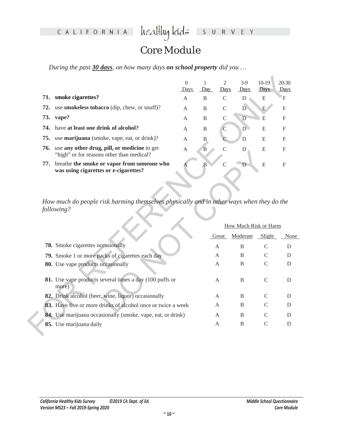## Core Module

*During the past 30 days, on how many days on school property did you …* 

|     |                                                                                           | $\left( \right)$<br>Days | Day | Days          | $3-9$<br>Days | $10-19$<br>Days | $20-30$<br>Days |
|-----|-------------------------------------------------------------------------------------------|--------------------------|-----|---------------|---------------|-----------------|-----------------|
| 71. | smoke cigarettes?                                                                         | A                        | B   |               | D             | E               | F               |
| 72. | use <b>smokeless tobacco</b> (dip, chew, or snuff)?                                       | A                        | B   | $\mathcal{C}$ | D             | E               | F               |
| 73. | vape?                                                                                     | A                        | B   | $\mathcal{C}$ | D             | E               | $\mathbf{F}$    |
|     | 74. have at least one drink of alcohol?                                                   | A                        | B   | C             | D             | E               | $\mathbf{F}$    |
|     | <b>75.</b> use <b>marijuana</b> (smoke, vape, eat, or drink)?                             | A                        | B   |               | D             | E               | F               |
| 76. | use any other drug, pill, or medicine to get<br>"high" or for reasons other than medical? | A                        | B   |               | D             | E               | F               |
| 77. | breathe the smoke or vapor from someone who<br>was using cigarettes or e-cigarettes?      |                          | R   |               | Ð             | E               | F               |

|     |                                                                                                        | $\Omega$<br>Days | 1<br>Day       | $\overline{2}$<br>Days | $3-9$<br>Days                | $10-19$<br><b>Days</b> | 20-30<br>Days             |  |
|-----|--------------------------------------------------------------------------------------------------------|------------------|----------------|------------------------|------------------------------|------------------------|---------------------------|--|
|     | 71. smoke cigarettes?                                                                                  | A                | B              | $\mathcal{C}$          | $\mathbf D$                  | E                      | $\mathbf{F}$              |  |
| 72. | use smokeless tobacco (dip, chew, or snuff)?                                                           | A                | B              | $\mathcal{C}$          | $\overline{D}$               | E                      | $\mathbf F$               |  |
| 73. | vape?                                                                                                  | A                | B              | $\mathcal{C}$          | D                            | E                      | F                         |  |
| 74. | have at least one drink of alcohol?                                                                    | A                | B              | $\mathcal{C}$          | $\overline{D}$               | E                      | F                         |  |
| 75. | use marijuana (smoke, vape, eat, or drink)?                                                            | A                | B              |                        | D                            | E                      | F                         |  |
| 76. | use any other drug, pill, or medicine to get<br>"high" or for reasons other than medical?              | A                | $\overline{B}$ | $\overline{C}$         | D                            | E                      | F                         |  |
| 77. | breathe the smoke or vapor from someone who<br>was using cigarettes or e-cigarettes?                   |                  | $\mathbf{B}$   | $\overline{C}$         | D                            | E                      | $\boldsymbol{\mathrm{F}}$ |  |
|     | How much do people risk harming themselves physically and in other ways when they do the<br>following? |                  |                |                        |                              |                        |                           |  |
|     |                                                                                                        |                  |                |                        | <b>How Much Risk or Harm</b> |                        |                           |  |
|     |                                                                                                        |                  |                | Great                  | Moderate                     | Slight                 | None                      |  |
|     | <b>78.</b> Smoke cigarettes occasionally                                                               |                  |                | A                      | <sub>B</sub>                 | $\mathcal{C}$          | D                         |  |
|     | 79. Smoke 1 or more packs of cigarettes each day                                                       |                  |                | A                      | <sub>B</sub>                 | C                      | D                         |  |
|     | 80. Use vape products occasionally                                                                     |                  |                | A                      | B                            | C                      | D                         |  |
|     | 81. Use vape products several times a day (100 puffs or<br>more)                                       |                  |                | A                      | B                            | $\mathcal{C}$          | D                         |  |
|     | 82. Drink alcohol (beer, wine, liquor) occasionally                                                    |                  |                | A                      | B                            | C                      | D                         |  |
|     | 83. Have five or more drinks of alcohol once or twice a week                                           |                  |                | A                      | B                            | $\mathcal{C}$          | D                         |  |
|     | 84. Use marijuana occasionally (smoke, vape, eat, or drink)                                            |                  |                | A                      | B                            | C                      | D                         |  |
|     | 85. Use marijuana daily                                                                                |                  |                | A                      | B                            | $\mathcal{C}$          | D                         |  |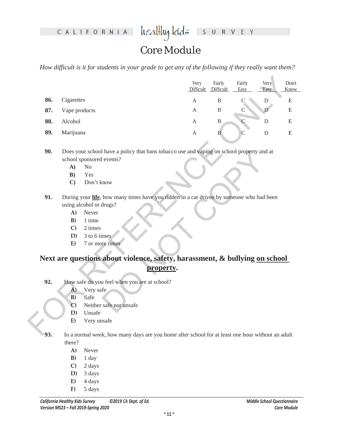heal<del>l</del>luy kids S U R V E Y

## Core Module

*How difficult is it for students in your grade to get any of the following if they really want them?* 

|     |                         |                                                                                                 |           | Very             | Fairly<br>Difficult Difficult | Fairly<br>Easy | Very<br>Easy | Don't<br><b>Know</b> |
|-----|-------------------------|-------------------------------------------------------------------------------------------------|-----------|------------------|-------------------------------|----------------|--------------|----------------------|
| 86. | Cigarettes              |                                                                                                 |           | $\mathbf{A}$     | $\, {\bf B}$                  | C              | ${\rm D}$    | E                    |
| 87. | Vape products           |                                                                                                 |           | $\mathbf{A}$     | $\, {\bf B}$                  |                | D            | ${\bf E}$            |
|     |                         |                                                                                                 |           |                  |                               |                |              |                      |
| 88. | Alcohol                 |                                                                                                 |           | $\mathbf{A}$     | $\mathbf B$                   | $\mathcal{C}$  | $\mathbf D$  | ${\bf E}$            |
| 89. |                         | Marijuana                                                                                       |           | $\boldsymbol{A}$ | $\mathbf{B}$                  | C              | ${\bf D}$    | ${\bf E}$            |
|     |                         |                                                                                                 |           |                  |                               |                |              |                      |
| 90. |                         | Does your school have a policy that bans tobacco use and vaping on school property and at       |           |                  |                               |                |              |                      |
|     |                         | school sponsored events?<br>N <sub>o</sub>                                                      |           |                  |                               |                |              |                      |
|     | A)<br>B)                | Yes                                                                                             |           |                  |                               |                |              |                      |
|     | $\mathbf{C}$            | Don't know                                                                                      |           |                  |                               |                |              |                      |
|     |                         |                                                                                                 |           |                  |                               |                |              |                      |
| 91. |                         | During your life, how many times have you ridden in a car driven by someone who had been        |           |                  |                               |                |              |                      |
|     | using alcohol or drugs? |                                                                                                 |           |                  |                               |                |              |                      |
|     | $\mathbf{A}$            | Never                                                                                           |           |                  |                               |                |              |                      |
|     | B)                      | 1 time                                                                                          |           |                  |                               |                |              |                      |
|     | $\mathbf{C}$            | 2 times                                                                                         |           |                  |                               |                |              |                      |
|     | D)                      | 3 to 6 times                                                                                    |           |                  |                               |                |              |                      |
|     | E)                      | 7 or more times                                                                                 |           |                  |                               |                |              |                      |
|     |                         | Next are questions about violence, safety, harassment, & bullying on school                     |           |                  |                               |                |              |                      |
|     |                         |                                                                                                 | property. |                  |                               |                |              |                      |
|     |                         |                                                                                                 |           |                  |                               |                |              |                      |
| 92. |                         | How safe do you feel when you are at school?                                                    |           |                  |                               |                |              |                      |
|     | A)                      | Very safe                                                                                       |           |                  |                               |                |              |                      |
|     | B)                      | Safe                                                                                            |           |                  |                               |                |              |                      |
|     | $\mathbf{C}$            | Neither safe nor unsafe                                                                         |           |                  |                               |                |              |                      |
|     | D)                      | Unsafe                                                                                          |           |                  |                               |                |              |                      |
|     | E)                      | Very unsafe                                                                                     |           |                  |                               |                |              |                      |
| 93  |                         | In a normal week how many days are you home after school for at least one hour without an adult |           |                  |                               |                |              |                      |

- **A)** No
- **B)** Yes
- **C)** Don't know
- **91.** During your **life**, how many times have you ridden in a car driven by someone who had been using alcohol or drugs?
	- **A)** Never
	- **B)** 1 time
	- **C)** 2 times
	- **D)** 3 to 6 times
	- **E)** 7 or more times

# The May a policy that bans tobacco use and vaping on school property and a<br>tevents?<br>the devents?<br>mow<br>how many times have you ridden in a car driven by someone who had be<br>drugs?<br>mes<br>mes<br>about violence, safety, harassment, & **Next are questions about violence, safety, harassment, & bullying on school property.**

- **92.** How safe do you feel when you are at school?
	- **A)** Very safe
	- **B)** Safe
	- **C)** Neither safe nor unsafe
	- **D)** Unsafe
	- **E)** Very unsafe
- **93.** In a normal week, how many days are you home after school for at least one hour without an adult there?
	- **A)** Never
	- **B)** 1 day
	- **C)** 2 days
	- **D)** 3 days
	- $E)$  4 days
	- **F)** 5 days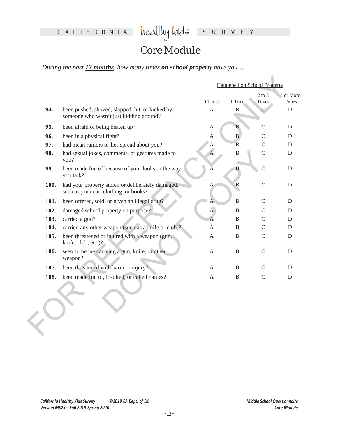## Core Module

*During the past 12 months, how many times on school property have you…*

|      |                                                                                            | <b>Happened on School Property</b> |                |                     |                    |  |
|------|--------------------------------------------------------------------------------------------|------------------------------------|----------------|---------------------|--------------------|--|
|      |                                                                                            | 0 Times                            | 1 Time         | $2$ to $3$<br>Times | 4 or More<br>Times |  |
| 94.  | been pushed, shoved, slapped, hit, or kicked by<br>someone who wasn't just kidding around? | $\mathbf{A}$                       | B              |                     | D                  |  |
| 95.  | been afraid of being beaten up?                                                            | A                                  | B              | $\overline{C}$      | D                  |  |
| 96.  | been in a physical fight?                                                                  | A                                  | $\, {\bf B}$   | $\mathcal{C}$       | D                  |  |
| 97.  | had mean rumors or lies spread about you?                                                  | А                                  | $\overline{B}$ | $\mathcal{C}$       | D                  |  |
| 98.  | had sexual jokes, comments, or gestures made to<br>you?                                    | $\overline{A}$                     | $\, {\bf B}$   | $\mathcal{C}$       | D                  |  |
| 99.  | been made fun of because of your looks or the way<br>you talk?                             |                                    | B.             | $\overline{C}$      | D                  |  |
| 100. | had your property stolen or deliberately damaged,<br>such as your car, clothing, or books? | А                                  | $\mathbf B$    | $\mathcal{C}$       | D                  |  |
| 101. | been offered, sold, or given an illegal drug?                                              | А                                  | $\mathbf{B}$   | $\mathcal{C}$       | D                  |  |
| 102. | damaged school property on purpose?                                                        | $\overline{A}$                     | B              | $\mathcal{C}$       | D                  |  |
| 103. | carried a gun?                                                                             | A                                  | B              | $\mathcal{C}$       | D                  |  |
| 104. | carried any other weapon (such as a knife or club)?                                        | A                                  | B              | C                   | D                  |  |
| 105. | been threatened or injured with a weapon (gun,<br>knife, club, etc.)?                      | A                                  | B              | $\mathsf{C}$        | D                  |  |
| 106. | seen someone carrying a gun, knife, or other<br>weapon?                                    | $\mathbf{A}$                       | B              | $\mathcal{C}$       | D                  |  |
| 107. | been threatened with harm or injury?                                                       | A                                  | B              | C                   | D                  |  |
| 108. | been made fun of, insulted, or called names?                                               | A                                  | B              | $\mathcal{C}$       | D                  |  |
|      |                                                                                            |                                    |                |                     |                    |  |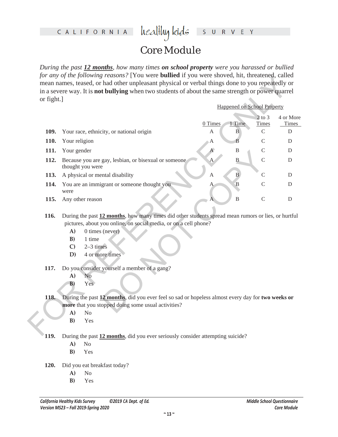# healthykids surver

## Core Module

*During the past 12 months, how many times on school property were you harassed or bullied for any of the following reasons?* [You were **bullied** if you were shoved, hit, threatened, called mean names, teased, or had other unpleasant physical or verbal things done to you repeatedly or in a severe way. It is **not bullying** when two students of about the same strength or power quarrel or fight.]

| or fight.] |                                                                  |                                                                                                     |              |                                    |                            |                    |  |  |  |
|------------|------------------------------------------------------------------|-----------------------------------------------------------------------------------------------------|--------------|------------------------------------|----------------------------|--------------------|--|--|--|
|            |                                                                  |                                                                                                     |              | <b>Happened on School Property</b> |                            |                    |  |  |  |
|            |                                                                  |                                                                                                     | 0 Times      | 1 Time                             | $2$ to $3$<br><b>Times</b> | 4 or More<br>Times |  |  |  |
| 109.       |                                                                  | Your race, ethnicity, or national origin                                                            | A            | $\, {\bf B}$                       | $\mathsf{C}$               | ${\rm D}$          |  |  |  |
| 110.       | Your religion                                                    |                                                                                                     | Α            | B                                  | $\mathcal{C}$              | D                  |  |  |  |
| 111.       | Your gender                                                      |                                                                                                     | $\mathbf{A}$ | $\, {\bf B}$                       | $\mathcal{C}$              | D                  |  |  |  |
| 112.       |                                                                  | Because you are gay, lesbian, or bisexual or someone<br>thought you were                            | А            | $\, {\bf B}$                       | $\overline{C}$             | D                  |  |  |  |
| 113.       | A physical or mental disability                                  |                                                                                                     | $\mathbf{A}$ | $\overline{B}$                     | C                          | $\mathbf D$        |  |  |  |
| 114.       | were                                                             | You are an immigrant or someone thought you                                                         | Α            | $\mathbf B$                        | $\mathcal{C}$              | $\mathbf D$        |  |  |  |
| 115.       |                                                                  | Any other reason                                                                                    |              | $\, {\bf B}$                       | $\mathcal{C}$              | ${\rm D}$          |  |  |  |
| 116.       |                                                                  | During the past 12 months, how many times did other students spread mean rumors or lies, or hurtful |              |                                    |                            |                    |  |  |  |
|            | pictures, about you online, on social media, or on a cell phone? |                                                                                                     |              |                                    |                            |                    |  |  |  |
|            | A)                                                               | 0 times (never)                                                                                     |              |                                    |                            |                    |  |  |  |
|            | B)                                                               | 1 time                                                                                              |              |                                    |                            |                    |  |  |  |
|            | $\mathbf{C}$                                                     | $2-3$ times                                                                                         |              |                                    |                            |                    |  |  |  |
|            | D)                                                               | 4 or more times                                                                                     |              |                                    |                            |                    |  |  |  |
| 117.       | Do you consider yourself a member of a gang?                     |                                                                                                     |              |                                    |                            |                    |  |  |  |
|            | A)                                                               | No                                                                                                  |              |                                    |                            |                    |  |  |  |
|            | B)                                                               | Yes                                                                                                 |              |                                    |                            |                    |  |  |  |
| 118.       |                                                                  | During the past 12 months, did you ever feel so sad or hopeless almost every day for two weeks or   |              |                                    |                            |                    |  |  |  |
|            | more that you stopped doing some usual activities?               |                                                                                                     |              |                                    |                            |                    |  |  |  |
|            | A)                                                               | No                                                                                                  |              |                                    |                            |                    |  |  |  |

- **A)** 0 times (never)
- **B)** 1 time
- **C)** 2–3 times
- **D)** 4 or more times
- **117.** Do you consider yourself a member of a gang?
	- **A)** No
	- **B)** Yes
- **118.** During the past **12 months**, did you ever feel so sad or hopeless almost every day for **two weeks or more** that you stopped doing some usual activities?
	- **A)** No
	- **B)** Yes

**119.** During the past **12 months**, did you ever seriously consider attempting suicide?

- **A)** No
- **B)** Yes
- **120.** Did you eat breakfast today?
	- **A)** No
	- **B)** Yes